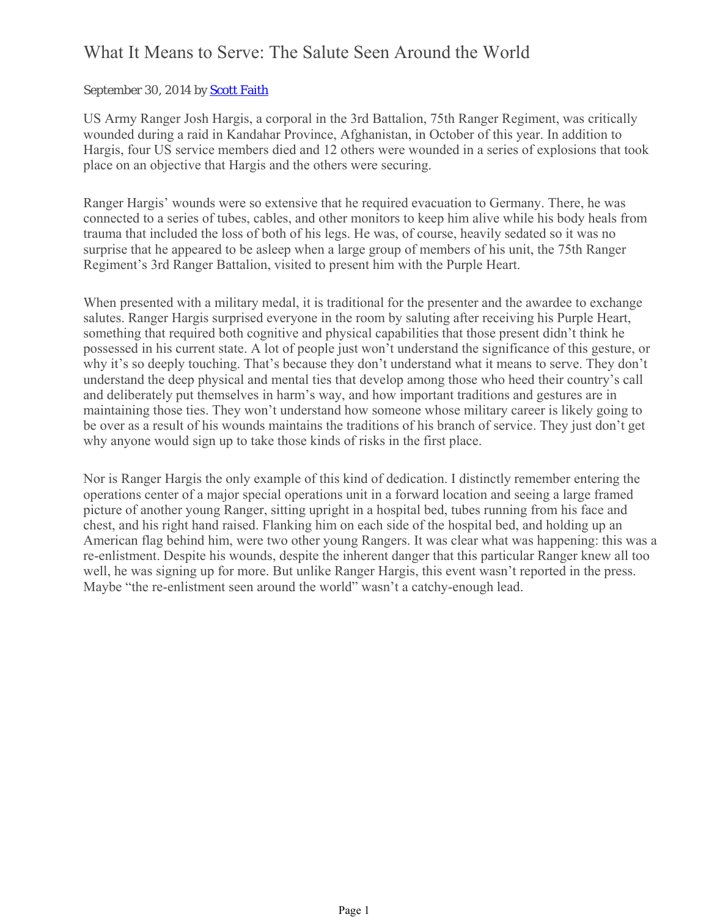## What It Means to Serve: The Salute Seen Around the World

## September 30, 2014 by Scott Faith

US Army Ranger Josh Hargis, a corporal in the 3rd Battalion, 75th Ranger Regiment, was critically wounded during a raid in Kandahar Province, Afghanistan, in October of this year. In addition to Hargis, four US service members died and 12 others were wounded in a series of explosions that took place on an objective that Hargis and the others were securing.

Ranger Hargis' wounds were so extensive that he required evacuation to Germany. There, he was connected to a series of tubes, cables, and other monitors to keep him alive while his body heals from trauma that included the loss of both of his legs. He was, of course, heavily sedated so it was no surprise that he appeared to be asleep when a large group of members of his unit, the 75th Ranger Regiment's 3rd Ranger Battalion, visited to present him with the Purple Heart.

When presented with a military medal, it is traditional for the presenter and the awardee to exchange salutes. Ranger Hargis surprised everyone in the room by saluting after receiving his Purple Heart, something that required both cognitive and physical capabilities that those present didn't think he possessed in his current state. A lot of people just won't understand the significance of this gesture, or why it's so deeply touching. That's because they don't understand what it means to serve. They don't understand the deep physical and mental ties that develop among those who heed their country's call and deliberately put themselves in harm's way, and how important traditions and gestures are in maintaining those ties. They won't understand how someone whose military career is likely going to be over as a result of his wounds maintains the traditions of his branch of service. They just don't get why anyone would sign up to take those kinds of risks in the first place.

Nor is Ranger Hargis the only example of this kind of dedication. I distinctly remember entering the operations center of a major special operations unit in a forward location and seeing a large framed picture of another young Ranger, sitting upright in a hospital bed, tubes running from his face and chest, and his right hand raised. Flanking him on each side of the hospital bed, and holding up an American flag behind him, were two other young Rangers. It was clear what was happening: this was a re-enlistment. Despite his wounds, despite the inherent danger that this particular Ranger knew all too well, he was signing up for more. But unlike Ranger Hargis, this event wasn't reported in the press. Maybe "the re-enlistment seen around the world" wasn't a catchy-enough lead.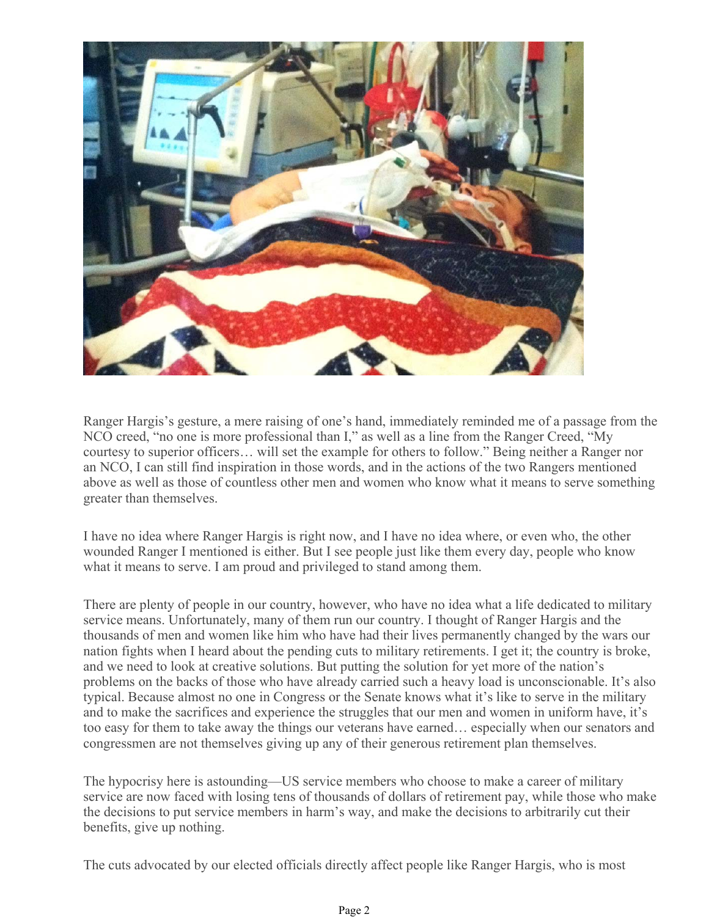

Ranger Hargis's gesture, a mere raising of one's hand, immediately reminded me of a passage from the NCO creed, "no one is more professional than I," as well as a line from the Ranger Creed, "My courtesy to superior officers… will set the example for others to follow." Being neither a Ranger nor an NCO, I can still find inspiration in those words, and in the actions of the two Rangers mentioned above as well as those of countless other men and women who know what it means to serve something greater than themselves.

I have no idea where Ranger Hargis is right now, and I have no idea where, or even who, the other wounded Ranger I mentioned is either. But I see people just like them every day, people who know what it means to serve. I am proud and privileged to stand among them.

There are plenty of people in our country, however, who have no idea what a life dedicated to military service means. Unfortunately, many of them run our country. I thought of Ranger Hargis and the thousands of men and women like him who have had their lives permanently changed by the wars our nation fights when I heard about the pending cuts to military retirements. I get it; the country is broke, and we need to look at creative solutions. But putting the solution for yet more of the nation's problems on the backs of those who have already carried such a heavy load is unconscionable. It's also typical. Because almost no one in Congress or the Senate knows what it's like to serve in the military and to make the sacrifices and experience the struggles that our men and women in uniform have, it's too easy for them to take away the things our veterans have earned… especially when our senators and congressmen are not themselves giving up any of their generous retirement plan themselves.

The hypocrisy here is astounding—US service members who choose to make a career of military service are now faced with losing tens of thousands of dollars of retirement pay, while those who make the decisions to put service members in harm's way, and make the decisions to arbitrarily cut their benefits, give up nothing.

The cuts advocated by our elected officials directly affect people like Ranger Hargis, who is most